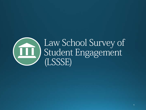

# Law School Survey of Student Engagement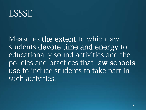### LSSSE

Measures the extent to which law students devote time and energy to educationally sound activities and the policies and practices that law schools use to induce students to take part in such activities.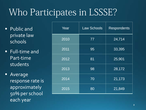# Who Participates in LSSSE?

- **Public and** private law schools
- Full-time and Part-time students

**Average** response rate is approximately 50% per school each year

| Year | <b>Law Schools</b> | <b>Respondents</b> |
|------|--------------------|--------------------|
| 2010 | 77                 | 24,714             |
| 2011 | 95                 | 33,395             |
| 2012 | 81                 | 25,901             |
| 2013 | 98                 | 28,172             |
| 2014 | 70                 | 21,173             |
| 2015 | 80                 | 21,849             |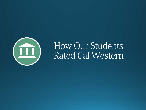

### How Our Students Rated Cal Western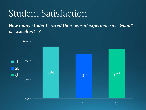*How many students rated their overall experience as "Good" or "Excellent" ?* 

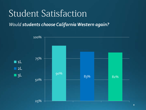*Would students choose California Western again?* 

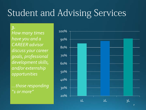# Student and Advising Services

*3. How many times have you and a CAREER advisor discuss your career goals, professional development skills, and/or externship opportunities*

*…those responding "1 or more"*

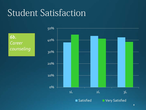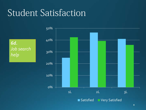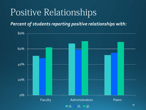### Positive Relationships

*Percent of students reporting positive relationships with:*

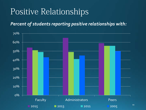### Positive Relationships

*Percent of students reporting positive relationships with:*

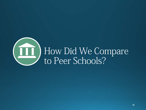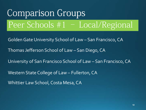**Comparison Groups** Peer Schools #1 – Local/RegionalGolden Gate University School of Law – San Francisco, CA Thomas Jefferson School of Law – San Diego, CA University of San Francisco School of Law – San Francisco, CA Western State College of Law – Fullerton, CA Whittier Law School, Costa Mesa, CA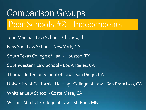**Comparison Groups** Peer Schools #2 - IndependentsJohn Marshall Law School - Chicago, Il New York Law School - New York, NY South Texas College of Law - Houston, TX Southwestern Law School - Los Angeles, CA Thomas Jefferson School of Law - San Diego, CA University of California, Hastings College of Law - San Francisco, CA Whittier Law School - Costa Mesa, CA William Mitchell College of Law - St. Paul, MN  $14$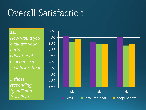*11. How would you evaluate your entire educational experience at your law school*

*…those responding "good" and "excellent"*

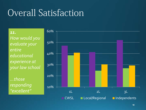*11. How would you evaluate your entire educational experience at your law school* 

*…those responding "excellent"*

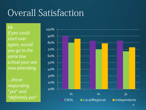*12. If you could start over again, would you go to the same law school your are now attending*

*…those responding "yes" and "definitely yes"*

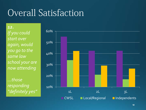*12. If you could start over again, would you go to the same law school your are now attending*

*…those responding "definitely yes"*

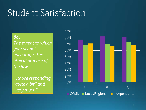*8b. The extent to which your school encourages the ethical practice of the law*

*…those responding "quite a bit" and "very much"*

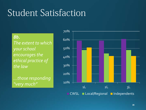*8b. The extent to which your school encourages the ethical practice of the law*

*…those responding "very much"*

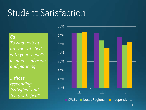*6a.*

*To what extent are you satisfied with your school's academic advising and planning*

*…those responding "satisfied" and "very satisfied"*

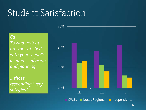*6a.*

*To what extent are you satisfied with your school's academic advising and planning*

*…those responding "very satisfied"*

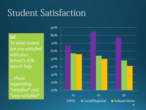*6d. To what extent are you satisfied with your school's JOB search help*

*…those responding "satisfied" and "very satisfied"*

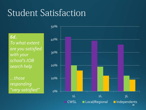*6d. To what extent are you satisfied with your school's JOB search help*

*…those responding "very satisfied"*

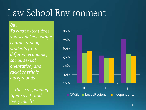### *8d.*

*To what extent does you school encourage contact among students from different economic, social, sexual orientation, and racial or ethnic backgrounds*

*… those responding "quite a bit" and "very much"*

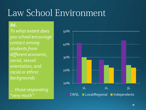### *8d.*

*To what extent does you school encourage contact among students from different economic, social, sexual orientation, and racial or ethnic backgrounds*

*… those responding "very much"*

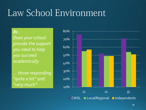#### *8c.*

*Does your school provide the support you need to help you succeed academically* 

*… those responding "quite a bit" and "very much"*

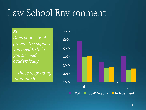#### *8c.*

*Does your school provide the support you need to help you succeed academically* 

*… those responding "very much"*

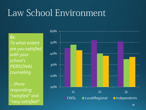*6c. To what extent are you satisfied with your school's PERSONAL counseling*

*…those responding "satisfied" and "very satisfied"*

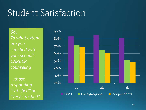*6b. To what extent are you satisfied with your school's CAREER counseling*

*…those responding "satisfied" or "very satisfied"*

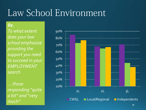*8e. To what extent does your law school emphasize providing the support you need to succeed in your EMPLOYMENT search*

*… those responding "quite a bit" and "very much"*

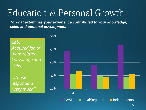*To what extent has your experience contributed to your knowledge, skills and personal development:*

*10b. Acquired job or work-related knowledge and skills*

*…those responding "very much"*

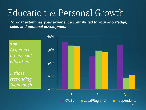*To what extent has your experience contributed to your knowledge, skills and personal development:*

*10a. Acquired a broad legal education*

*…those responding "very much"*

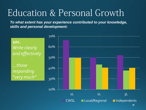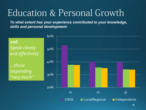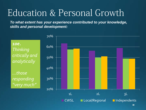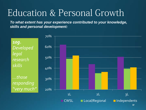*To what extent has your experience contributed to your knowledge, skills and personal development:*



37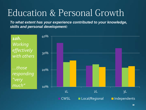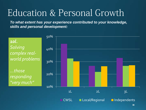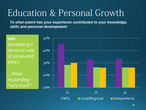*To what extent has your experience contributed to your knowledge, skills and personal development:*

*10n. Developing a personal code of values and ethics*

*…those responding "very much"*

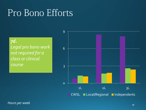## Pro Bono Efforts

*7d. Legal pro bono work not required for a class or clinical course*

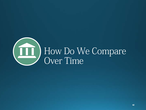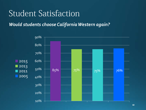*Would students choose California Western again?* 

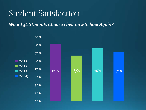*Would 3L Students Choose Their Law School Again?* 

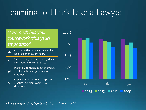### Learning to Think Like a Lawyer

### *How much has your coursework (this year) emphasized:*

ab Analyzing the basic elements of an idea, experience, or theory Synthesizing and organizing ideas, information, or experiences 3d Making judgments about the value of information, arguments, or methods

Applying theories or concepts to

3e practical problems or in new situations



*-Those responding "quite a bit" and "very much"*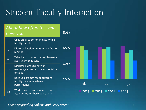### Student-Faculty Interaction

### *About how often this year have you:*

- Used email to communicate with a faculty member 1l Discussed assignments with a faculty member  $1<sub>m</sub>$ Talked about career plans/job search activities with faculty  $1n$ Discussed ideas from your readings/classes with faculty outside of class Received prompt feedback from
- 1o faculty on your academic performance 1p Worked with faculty members on
	- activities other than coursework



*-Those responding "often" and "very often"*